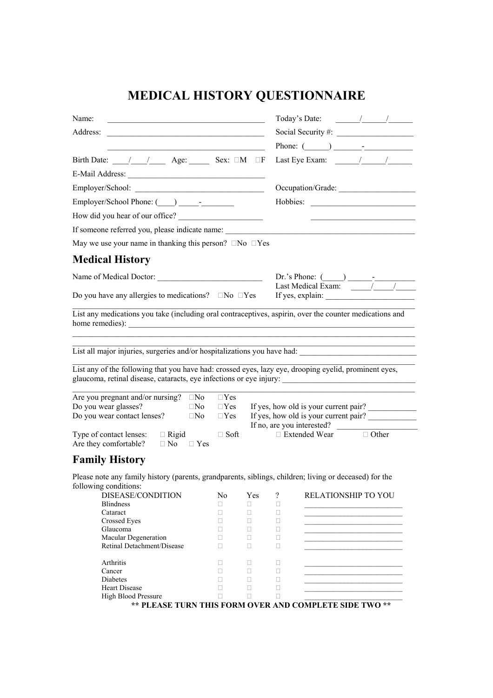## **MEDICAL HISTORY QUESTIONNAIRE**

| Name:                                                                                                                                               |                                            |             |                               | Today's Date:                                                                                                                                                                                                                                                                                                                                                                                                     |  |
|-----------------------------------------------------------------------------------------------------------------------------------------------------|--------------------------------------------|-------------|-------------------------------|-------------------------------------------------------------------------------------------------------------------------------------------------------------------------------------------------------------------------------------------------------------------------------------------------------------------------------------------------------------------------------------------------------------------|--|
|                                                                                                                                                     |                                            |             |                               |                                                                                                                                                                                                                                                                                                                                                                                                                   |  |
|                                                                                                                                                     |                                            |             |                               |                                                                                                                                                                                                                                                                                                                                                                                                                   |  |
| Birth Date: $\frac{1}{\sqrt{1-\frac{1}{n}}}$ Age: Sex: $\Box M$ $\Box F$                                                                            |                                            |             |                               | Last Eye Exam: $\frac{1}{\sqrt{1-\frac{1}{2}}}\frac{1}{\sqrt{1-\frac{1}{2}}}}$                                                                                                                                                                                                                                                                                                                                    |  |
|                                                                                                                                                     |                                            |             |                               |                                                                                                                                                                                                                                                                                                                                                                                                                   |  |
|                                                                                                                                                     |                                            |             |                               | Occupation/Grade:                                                                                                                                                                                                                                                                                                                                                                                                 |  |
|                                                                                                                                                     |                                            |             |                               |                                                                                                                                                                                                                                                                                                                                                                                                                   |  |
|                                                                                                                                                     |                                            |             |                               |                                                                                                                                                                                                                                                                                                                                                                                                                   |  |
|                                                                                                                                                     |                                            |             |                               |                                                                                                                                                                                                                                                                                                                                                                                                                   |  |
| May we use your name in thanking this person? $\Box$ No $\Box$ Yes                                                                                  |                                            |             |                               |                                                                                                                                                                                                                                                                                                                                                                                                                   |  |
| Medical History                                                                                                                                     |                                            |             |                               |                                                                                                                                                                                                                                                                                                                                                                                                                   |  |
|                                                                                                                                                     |                                            |             |                               | Dr.'s Phone: $(\_\_\_\_\_\_\_\_\$                                                                                                                                                                                                                                                                                                                                                                                 |  |
|                                                                                                                                                     |                                            |             |                               | Last Medical Exam: $\frac{1}{\sqrt{1-\frac{1}{\sqrt{1-\frac{1}{\sqrt{1-\frac{1}{\sqrt{1-\frac{1}{\sqrt{1-\frac{1}{\sqrt{1-\frac{1}{\sqrt{1-\frac{1}{\sqrt{1-\frac{1}{\sqrt{1-\frac{1}{\sqrt{1-\frac{1}{\sqrt{1-\frac{1}{\sqrt{1-\frac{1}{\sqrt{1-\frac{1}{\sqrt{1-\frac{1}{\sqrt{1-\frac{1}{\sqrt{1-\frac{1}{\sqrt{1-\frac{1}{\sqrt{1-\frac{1}{\sqrt{1-\frac{1}{\sqrt{1-\frac{1}{\sqrt{1-\frac{1}{\sqrt{1-\frac{$ |  |
| Do you have any allergies to medications? $\Box$ No $\Box$ Yes $\Box$ If yes, explain:                                                              |                                            |             |                               |                                                                                                                                                                                                                                                                                                                                                                                                                   |  |
|                                                                                                                                                     |                                            |             |                               |                                                                                                                                                                                                                                                                                                                                                                                                                   |  |
|                                                                                                                                                     |                                            |             |                               | <u> 2000 - Jan Barat, margaret amerikan bisa di sebagai pertama di sebagai pertama di sebagai pertama di sebagai</u>                                                                                                                                                                                                                                                                                              |  |
|                                                                                                                                                     |                                            |             |                               |                                                                                                                                                                                                                                                                                                                                                                                                                   |  |
| List any of the following that you have had: crossed eyes, lazy eye, drooping eyelid, prominent eyes,<br>Are you pregnant and/or nursing? $\Box$ No | $\Box$ Yes<br>$\Box$ Yes                   |             |                               |                                                                                                                                                                                                                                                                                                                                                                                                                   |  |
|                                                                                                                                                     | $\square$ No<br>$\square$ No<br>$\Box$ Yes |             |                               | If yes, how old is your current pair?<br>If yes, how old is your current pair?                                                                                                                                                                                                                                                                                                                                    |  |
| $\Box$ Rigid<br>$\Box$ No $\Box$ Yes                                                                                                                | $\Box$ Soft                                |             |                               | If no, are you interested?<br>$\Box$ Extended Wear<br>$\Box$ Other                                                                                                                                                                                                                                                                                                                                                |  |
| Do you wear glasses?<br>Do you wear contact lenses?<br>Type of contact lenses:<br>Are they comfortable?<br><b>Family History</b>                    |                                            |             |                               |                                                                                                                                                                                                                                                                                                                                                                                                                   |  |
|                                                                                                                                                     |                                            |             |                               |                                                                                                                                                                                                                                                                                                                                                                                                                   |  |
|                                                                                                                                                     |                                            |             |                               |                                                                                                                                                                                                                                                                                                                                                                                                                   |  |
| DISEASE/CONDITION<br><b>Blindness</b>                                                                                                               | No<br>П                                    | Yes<br>П    | $\overline{\mathcal{L}}$<br>□ | RELATIONSHIP TO YOU                                                                                                                                                                                                                                                                                                                                                                                               |  |
| Cataract                                                                                                                                            | $\Box$                                     | $\Box$      | $\Box$                        |                                                                                                                                                                                                                                                                                                                                                                                                                   |  |
| <b>Crossed Eyes</b>                                                                                                                                 | П                                          | O           | $\Box$                        |                                                                                                                                                                                                                                                                                                                                                                                                                   |  |
| Glaucoma                                                                                                                                            | П.                                         | П           | $\Box$                        |                                                                                                                                                                                                                                                                                                                                                                                                                   |  |
| Macular Degeneration<br>Retinal Detachment/Disease                                                                                                  | П<br>п                                     | O<br>$\Box$ | □<br>$\Box$                   |                                                                                                                                                                                                                                                                                                                                                                                                                   |  |
| Please note any family history (parents, grandparents, siblings, children; living or deceased) for the<br>following conditions:<br>Arthritis        | П.                                         | п           | □                             |                                                                                                                                                                                                                                                                                                                                                                                                                   |  |
| Cancer                                                                                                                                              | П.                                         | $\Box$      | $\Box$                        |                                                                                                                                                                                                                                                                                                                                                                                                                   |  |
| Diabetes                                                                                                                                            | п                                          | П           | $\Box$                        |                                                                                                                                                                                                                                                                                                                                                                                                                   |  |
| <b>Heart Disease</b><br><b>High Blood Pressure</b>                                                                                                  | п<br>$\Box$                                | П<br>П      | □<br>$\Box$                   |                                                                                                                                                                                                                                                                                                                                                                                                                   |  |